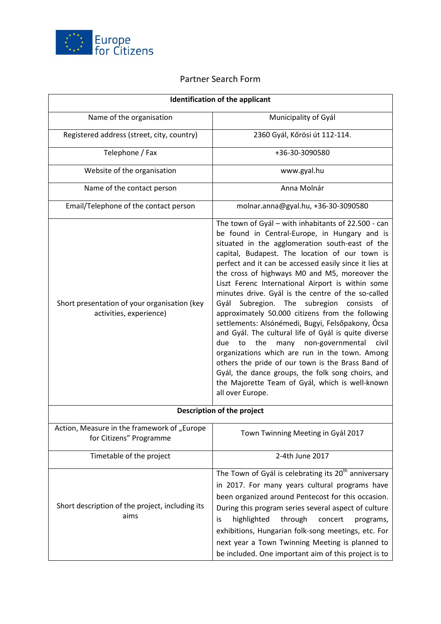

## Partner Search Form

| <b>Identification of the applicant</b>                                  |                                                                                                                                                                                                                                                                                                                                                                                                                                                                                                                                                                                                                                                                                                                                                                                                                                                                                                                                     |
|-------------------------------------------------------------------------|-------------------------------------------------------------------------------------------------------------------------------------------------------------------------------------------------------------------------------------------------------------------------------------------------------------------------------------------------------------------------------------------------------------------------------------------------------------------------------------------------------------------------------------------------------------------------------------------------------------------------------------------------------------------------------------------------------------------------------------------------------------------------------------------------------------------------------------------------------------------------------------------------------------------------------------|
| Name of the organisation                                                | Municipality of Gyál                                                                                                                                                                                                                                                                                                                                                                                                                                                                                                                                                                                                                                                                                                                                                                                                                                                                                                                |
| Registered address (street, city, country)                              | 2360 Gyál, Kőrösi út 112-114.                                                                                                                                                                                                                                                                                                                                                                                                                                                                                                                                                                                                                                                                                                                                                                                                                                                                                                       |
| Telephone / Fax                                                         | +36-30-3090580                                                                                                                                                                                                                                                                                                                                                                                                                                                                                                                                                                                                                                                                                                                                                                                                                                                                                                                      |
| Website of the organisation                                             | www.gyal.hu                                                                                                                                                                                                                                                                                                                                                                                                                                                                                                                                                                                                                                                                                                                                                                                                                                                                                                                         |
| Name of the contact person                                              | Anna Molnár                                                                                                                                                                                                                                                                                                                                                                                                                                                                                                                                                                                                                                                                                                                                                                                                                                                                                                                         |
| Email/Telephone of the contact person                                   | molnar.anna@gyal.hu, +36-30-3090580                                                                                                                                                                                                                                                                                                                                                                                                                                                                                                                                                                                                                                                                                                                                                                                                                                                                                                 |
| Short presentation of your organisation (key<br>activities, experience) | The town of Gyál - with inhabitants of 22.500 - can<br>be found in Central-Europe, in Hungary and is<br>situated in the agglomeration south-east of the<br>capital, Budapest. The location of our town is<br>perfect and it can be accessed easily since it lies at<br>the cross of highways M0 and M5, moreover the<br>Liszt Ferenc International Airport is within some<br>minutes drive. Gyál is the centre of the so-called<br>Gyál Subregion. The subregion consists of<br>approximately 50.000 citizens from the following<br>settlements: Alsónémedi, Bugyi, Felsőpakony, Ócsa<br>and Gyál. The cultural life of Gyál is quite diverse<br>the<br>many non-governmental civil<br>due<br>to<br>organizations which are run in the town. Among<br>others the pride of our town is the Brass Band of<br>Gyál, the dance groups, the folk song choirs, and<br>the Majorette Team of Gyál, which is well-known<br>all over Europe. |
| Description of the project                                              |                                                                                                                                                                                                                                                                                                                                                                                                                                                                                                                                                                                                                                                                                                                                                                                                                                                                                                                                     |
| Action, Measure in the framework of "Europe<br>for Citizens" Programme  | Town Twinning Meeting in Gyál 2017                                                                                                                                                                                                                                                                                                                                                                                                                                                                                                                                                                                                                                                                                                                                                                                                                                                                                                  |
| Timetable of the project                                                | 2-4th June 2017                                                                                                                                                                                                                                                                                                                                                                                                                                                                                                                                                                                                                                                                                                                                                                                                                                                                                                                     |
| Short description of the project, including its<br>aims                 | The Town of Gyál is celebrating its 20 <sup>th</sup> anniversary<br>in 2017. For many years cultural programs have<br>been organized around Pentecost for this occasion.<br>During this program series several aspect of culture<br>highlighted<br>through<br>concert<br>programs,<br>İS<br>exhibitions, Hungarian folk-song meetings, etc. For<br>next year a Town Twinning Meeting is planned to<br>be included. One important aim of this project is to                                                                                                                                                                                                                                                                                                                                                                                                                                                                          |